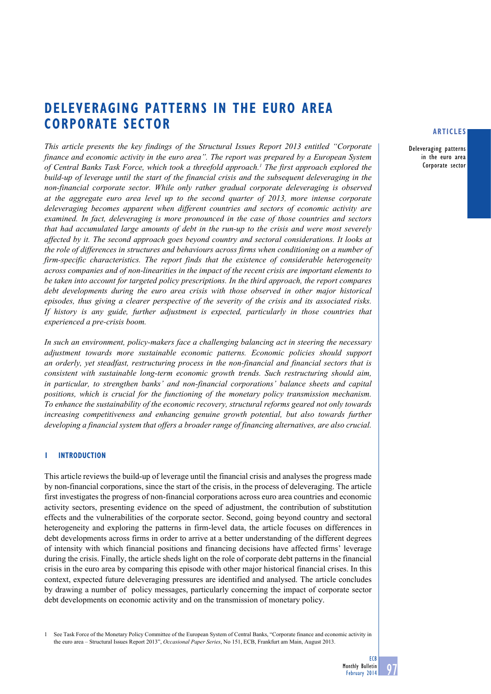# **deleveraging patterns in the euro area Corporate sector**

*This article presents the key findings of the Structural Issues Report 2013 entitled "Corporate finance and economic activity in the euro area". The report was prepared by a European System*  of Central Banks Task Force, which took a threefold approach.<sup>1</sup> The first approach explored the *build-up of leverage until the start of the financial crisis and the subsequent deleveraging in the non-financial corporate sector. While only rather gradual corporate deleveraging is observed at the aggregate euro area level up to the second quarter of 2013, more intense corporate deleveraging becomes apparent when different countries and sectors of economic activity are examined. In fact, deleveraging is more pronounced in the case of those countries and sectors that had accumulated large amounts of debt in the run-up to the crisis and were most severely affected by it. The second approach goes beyond country and sectoral considerations. It looks at the role of differences in structures and behaviours across firms when conditioning on a number of firm-specific characteristics. The report finds that the existence of considerable heterogeneity across companies and of non-linearities in the impact of the recent crisis are important elements to be taken into account for targeted policy prescriptions. In the third approach, the report compares debt developments during the euro area crisis with those observed in other major historical episodes, thus giving a clearer perspective of the severity of the crisis and its associated risks. If history is any guide, further adjustment is expected, particularly in those countries that experienced a pre-crisis boom.*

*In such an environment, policy-makers face a challenging balancing act in steering the necessary adjustment towards more sustainable economic patterns. Economic policies should support an orderly, yet steadfast, restructuring process in the non-financial and financial sectors that is consistent with sustainable long-term economic growth trends. Such restructuring should aim, in particular, to strengthen banks' and non-financial corporations' balance sheets and capital positions, which is crucial for the functioning of the monetary policy transmission mechanism. To enhance the sustainability of the economic recovery, structural reforms geared not only towards increasing competitiveness and enhancing genuine growth potential, but also towards further developing a financial system that offers a broader range of financing alternatives, are also crucial.*

# **1 Introduction**

This article reviews the build-up of leverage until the financial crisis and analyses the progress made by non-financial corporations, since the start of the crisis, in the process of deleveraging. The article first investigates the progress of non-financial corporations across euro area countries and economic activity sectors, presenting evidence on the speed of adjustment, the contribution of substitution effects and the vulnerabilities of the corporate sector. Second, going beyond country and sectoral heterogeneity and exploring the patterns in firm-level data, the article focuses on differences in debt developments across firms in order to arrive at a better understanding of the different degrees of intensity with which financial positions and financing decisions have affected firms' leverage during the crisis. Finally, the article sheds light on the role of corporate debt patterns in the financial crisis in the euro area by comparing this episode with other major historical financial crises. In this context, expected future deleveraging pressures are identified and analysed. The article concludes by drawing a number of policy messages, particularly concerning the impact of corporate sector debt developments on economic activity and on the transmission of monetary policy.

See Task Force of the Monetary Policy Committee of the European System of Central Banks, "Corporate finance and economic activity in the euro area – Structural Issues Report 2013", *Occasional Paper Series*, No 151, ECB, Frankfurt am Main, August 2013.

## **articles**

Deleveraging patterns in the euro area Corporate sector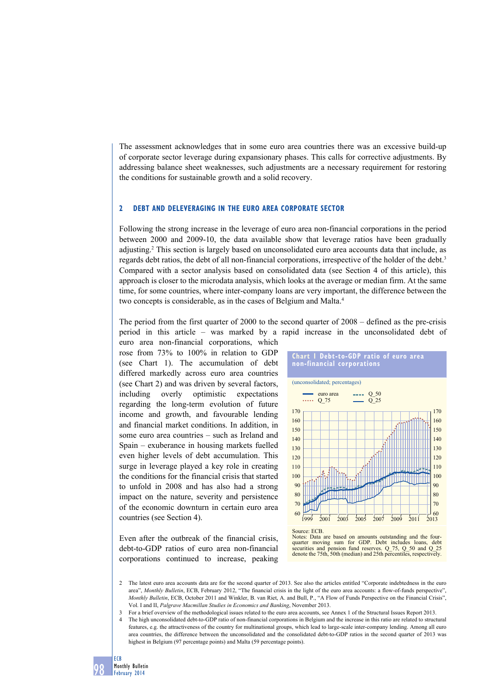The assessment acknowledges that in some euro area countries there was an excessive build-up of corporate sector leverage during expansionary phases. This calls for corrective adjustments. By addressing balance sheet weaknesses, such adjustments are a necessary requirement for restoring the conditions for sustainable growth and a solid recovery.

#### **2 Debt and deleveraging in the euro area corporate sector**

Following the strong increase in the leverage of euro area non-financial corporations in the period between 2000 and 2009-10, the data available show that leverage ratios have been gradually adjusting.2 This section is largely based on unconsolidated euro area accounts data that include, as regards debt ratios, the debt of all non-financial corporations, irrespective of the holder of the debt.<sup>3</sup> Compared with a sector analysis based on consolidated data (see Section 4 of this article), this approach is closer to the microdata analysis, which looks at the average or median firm. At the same time, for some countries, where inter-company loans are very important, the difference between the two concepts is considerable, as in the cases of Belgium and Malta.4

The period from the first quarter of 2000 to the second quarter of 2008 – defined as the pre-crisis period in this article – was marked by a rapid increase in the unconsolidated debt of

euro area non-financial corporations, which rose from 73% to 100% in relation to GDP (see Chart 1). The accumulation of debt differed markedly across euro area countries (see Chart 2) and was driven by several factors, including overly optimistic expectations regarding the long-term evolution of future income and growth, and favourable lending and financial market conditions. In addition, in some euro area countries – such as Ireland and Spain – exuberance in housing markets fuelled even higher levels of debt accumulation. This surge in leverage played a key role in creating the conditions for the financial crisis that started to unfold in 2008 and has also had a strong impact on the nature, severity and persistence of the economic downturn in certain euro area countries (see Section 4).

Even after the outbreak of the financial crisis, debt-to-GDP ratios of euro area non-financial corporations continued to increase, peaking





2 The latest euro area accounts data are for the second quarter of 2013. See also the articles entitled "Corporate indebtedness in the euro area", *Monthly Bulletin*, ECB, February 2012, "The financial crisis in the light of the euro area accounts: a flow-of-funds perspective", *Monthly Bulletin*, ECB, October 2011 and Winkler, B. van Riet, A. and Bull, P., "A Flow of Funds Perspective on the Financial Crisis", Vol. I and II, *Palgrave Macmillan Studies in Economics and Banking*, November 2013.

3 For a brief overview of the methodological issues related to the euro area accounts, see Annex 1 of the Structural Issues Report 2013.

4 The high unconsolidated debt-to-GDP ratio of non-financial corporations in Belgium and the increase in this ratio are related to structural features, e.g. the attractiveness of the country for multinational groups, which lead to large-scale inter-company lending. Among all euro area countries, the difference between the unconsolidated and the consolidated debt-to-GDP ratios in the second quarter of 2013 was highest in Belgium (97 percentage points) and Malta (59 percentage points).



98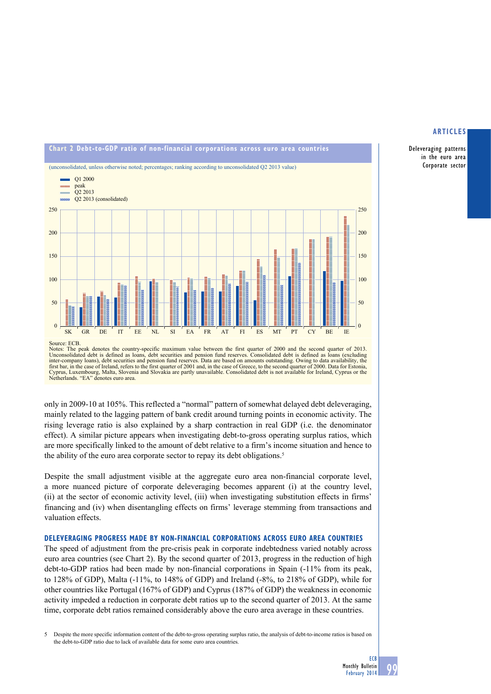# **Chart 2 debt-to-GdP ratio of non-financial corporations across euro area countries** (unconsolidated, unless otherwise noted; percentages; ranking according to unconsolidated Q2 2013 value) Q1 2000 **CONTRACTOR** peak Q2 2013 Q2 2013 (consolidated)  $250$ 250 200 200 150 150 100 100 50 50 0 0 SK GR DE IT EE NL SI EA FR AT FI ES MT PT CY BE IE Source: ECB.

Notes: The peak denotes the country-specific maximum value between the first quarter of 2000 and the second quarter of 2013.<br>Unconsolidated debt is defined as loans, debt securities and pension fund reserves. Consolidated inter-company loans), debt securities and pension fund reserves. Data are based on amounts outstanding. Owing to data availability, the first bar, in the case of Ireland, refers to the first quarter of 2001 and, in the case of Greece, to the second quarter of 2000. Data for Estonia Cyprus, Luxembourg, Malta, Slovenia and Slovakia are partly unavailable. Consolidated debt is not available for Ireland, Cyprus or the Netherlands. "EA" denotes euro area.

only in 2009-10 at 105%. This reflected a "normal" pattern of somewhat delayed debt deleveraging, mainly related to the lagging pattern of bank credit around turning points in economic activity. The rising leverage ratio is also explained by a sharp contraction in real GDP (i.e. the denominator effect). A similar picture appears when investigating debt-to-gross operating surplus ratios, which are more specifically linked to the amount of debt relative to a firm's income situation and hence to the ability of the euro area corporate sector to repay its debt obligations.<sup>5</sup>

Despite the small adjustment visible at the aggregate euro area non-financial corporate level, a more nuanced picture of corporate deleveraging becomes apparent (i) at the country level, (ii) at the sector of economic activity level, (iii) when investigating substitution effects in firms' financing and (iv) when disentangling effects on firms' leverage stemming from transactions and valuation effects.

# **Deleveraging progress made by non-financial corporations across euro area countries**

The speed of adjustment from the pre-crisis peak in corporate indebtedness varied notably across euro area countries (see Chart 2). By the second quarter of 2013, progress in the reduction of high debt-to-GDP ratios had been made by non-financial corporations in Spain (-11% from its peak, to 128% of GDP), Malta (-11%, to 148% of GDP) and Ireland (-8%, to 218% of GDP), while for other countries like Portugal (167% of GDP) and Cyprus (187% of GDP) the weakness in economic activity impeded a reduction in corporate debt ratios up to the second quarter of 2013. At the same time, corporate debt ratios remained considerably above the euro area average in these countries.

5 Despite the more specific information content of the debt-to-gross operating surplus ratio, the analysis of debt-to-income ratios is based on the debt-to-GDP ratio due to lack of available data for some euro area countries.

# **articles**

Deleveraging patterns in the euro area Corporate sector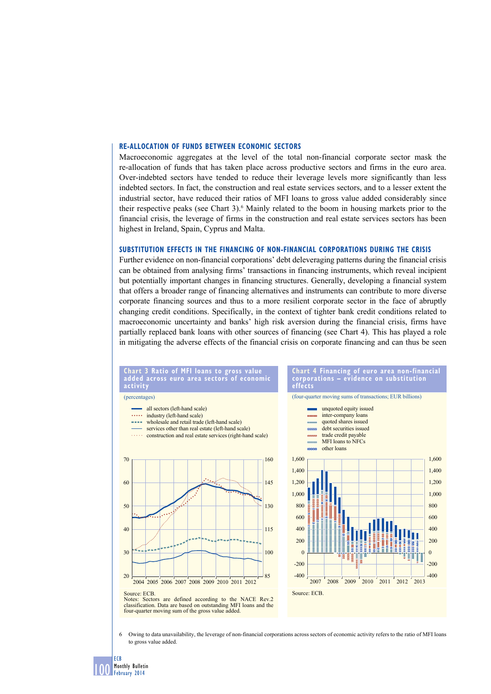## **Re-allocation of funds between economic sectors**

Macroeconomic aggregates at the level of the total non-financial corporate sector mask the re-allocation of funds that has taken place across productive sectors and firms in the euro area. Over-indebted sectors have tended to reduce their leverage levels more significantly than less indebted sectors. In fact, the construction and real estate services sectors, and to a lesser extent the industrial sector, have reduced their ratios of MFI loans to gross value added considerably since their respective peaks (see Chart 3).<sup>6</sup> Mainly related to the boom in housing markets prior to the financial crisis, the leverage of firms in the construction and real estate services sectors has been highest in Ireland, Spain, Cyprus and Malta.

#### **Substitution effects in the financing of non-financial corporations during the crisis**

Further evidence on non-financial corporations' debt deleveraging patterns during the financial crisis can be obtained from analysing firms' transactions in financing instruments, which reveal incipient but potentially important changes in financing structures. Generally, developing a financial system that offers a broader range of financing alternatives and instruments can contribute to more diverse corporate financing sources and thus to a more resilient corporate sector in the face of abruptly changing credit conditions. Specifically, in the context of tighter bank credit conditions related to macroeconomic uncertainty and banks' high risk aversion during the financial crisis, firms have partially replaced bank loans with other sources of financing (see Chart 4). This has played a role in mitigating the adverse effects of the financial crisis on corporate financing and can thus be seen

**Chart 4 financing of euro area non-financial** 

-400 -200 0 200 400 600 800 1,000 1,200 1,400 1,600



6 Owing to data unavailability, the leverage of non-financial corporations across sectors of economic activity refers to the ratio of MFI loans to gross value added.

100 ECB Monthly Bulletin February 2014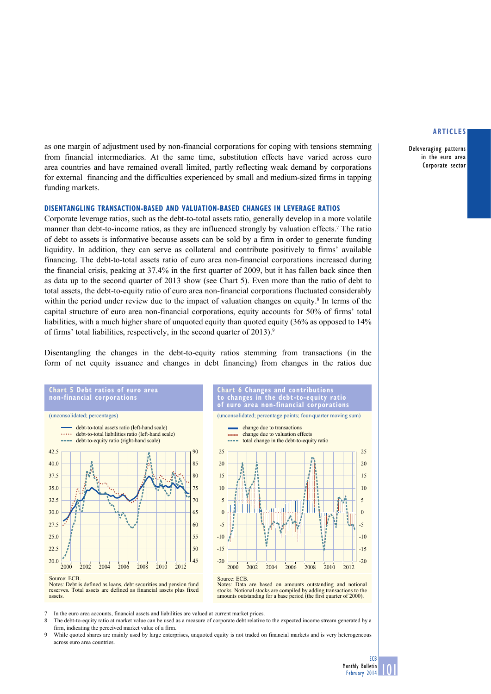Deleveraging patterns in the euro area Corporate sector

as one margin of adjustment used by non-financial corporations for coping with tensions stemming from financial intermediaries. At the same time, substitution effects have varied across euro area countries and have remained overall limited, partly reflecting weak demand by corporations for external financing and the difficulties experienced by small and medium-sized firms in tapping funding markets.

#### **Disentangling transaction-based and valuation-based changes in leverage ratios**

Corporate leverage ratios, such as the debt-to-total assets ratio, generally develop in a more volatile manner than debt-to-income ratios, as they are influenced strongly by valuation effects.<sup>7</sup> The ratio of debt to assets is informative because assets can be sold by a firm in order to generate funding liquidity. In addition, they can serve as collateral and contribute positively to firms' available financing. The debt-to-total assets ratio of euro area non-financial corporations increased during the financial crisis, peaking at 37.4% in the first quarter of 2009, but it has fallen back since then as data up to the second quarter of 2013 show (see Chart 5). Even more than the ratio of debt to total assets, the debt-to-equity ratio of euro area non-financial corporations fluctuated considerably within the period under review due to the impact of valuation changes on equity.<sup>8</sup> In terms of the capital structure of euro area non-financial corporations, equity accounts for 50% of firms' total liabilities, with a much higher share of unquoted equity than quoted equity (36% as opposed to 14% of firms' total liabilities, respectively, in the second quarter of 2013).<sup>9</sup>

Disentangling the changes in the debt-to-equity ratios stemming from transactions (in the form of net equity issuance and changes in debt financing) from changes in the ratios due



assets.



**Chart 6 Changes and contributions to changes in the debt-to-equity ratio** 

Notes: Data are based on amounts outstanding and notional stocks. Notional stocks are compiled by adding transactions to the amounts outstanding for a base period (the first quarter of 2000).

7 In the euro area accounts, financial assets and liabilities are valued at current market prices.<br>8 The debt to-equity ratio at market value can be used as a measure of corporate debt relative

The debt-to-equity ratio at market value can be used as a measure of corporate debt relative to the expected income stream generated by a firm, indicating the perceived market value of a firm.

9 While quoted shares are mainly used by large enterprises, unquoted equity is not traded on financial markets and is very heterogeneous across euro area countries.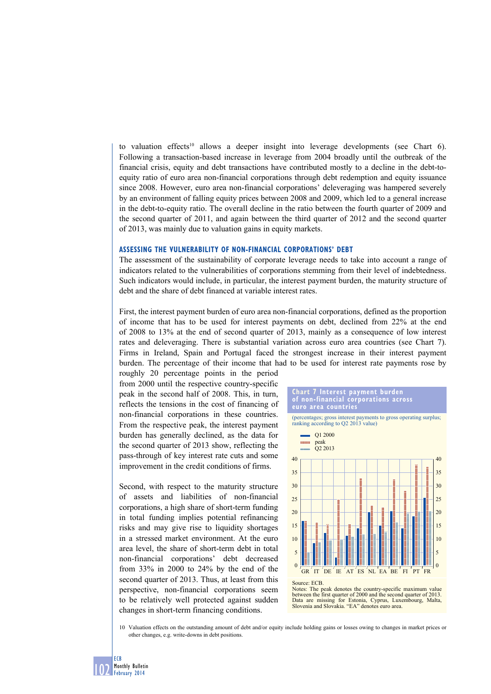to valuation effects<sup>10</sup> allows a deeper insight into leverage developments (see Chart 6). Following a transaction-based increase in leverage from 2004 broadly until the outbreak of the financial crisis, equity and debt transactions have contributed mostly to a decline in the debt-toequity ratio of euro area non-financial corporations through debt redemption and equity issuance since 2008. However, euro area non-financial corporations' deleveraging was hampered severely by an environment of falling equity prices between 2008 and 2009, which led to a general increase in the debt-to-equity ratio. The overall decline in the ratio between the fourth quarter of 2009 and the second quarter of 2011, and again between the third quarter of 2012 and the second quarter of 2013, was mainly due to valuation gains in equity markets.

#### **Assessing the vulnerability of non-financial corporations' debt**

The assessment of the sustainability of corporate leverage needs to take into account a range of indicators related to the vulnerabilities of corporations stemming from their level of indebtedness. Such indicators would include, in particular, the interest payment burden, the maturity structure of debt and the share of debt financed at variable interest rates.

First, the interest payment burden of euro area non-financial corporations, defined as the proportion of income that has to be used for interest payments on debt, declined from 22% at the end of 2008 to 13% at the end of second quarter of 2013, mainly as a consequence of low interest rates and deleveraging. There is substantial variation across euro area countries (see Chart 7). Firms in Ireland, Spain and Portugal faced the strongest increase in their interest payment burden. The percentage of their income that had to be used for interest rate payments rose by

roughly 20 percentage points in the period from 2000 until the respective country-specific peak in the second half of 2008. This, in turn, reflects the tensions in the cost of financing of non-financial corporations in these countries. From the respective peak, the interest payment burden has generally declined, as the data for the second quarter of 2013 show, reflecting the pass-through of key interest rate cuts and some improvement in the credit conditions of firms.

Second, with respect to the maturity structure of assets and liabilities of non-financial corporations, a high share of short-term funding in total funding implies potential refinancing risks and may give rise to liquidity shortages in a stressed market environment. At the euro area level, the share of short-term debt in total non-financial corporations' debt decreased from 33% in 2000 to 24% by the end of the second quarter of 2013. Thus, at least from this perspective, non-financial corporations seem to be relatively well protected against sudden changes in short-term financing conditions.





10 Valuation effects on the outstanding amount of debt and/or equity include holding gains or losses owing to changes in market prices or other changes, e.g. write-downs in debt positions.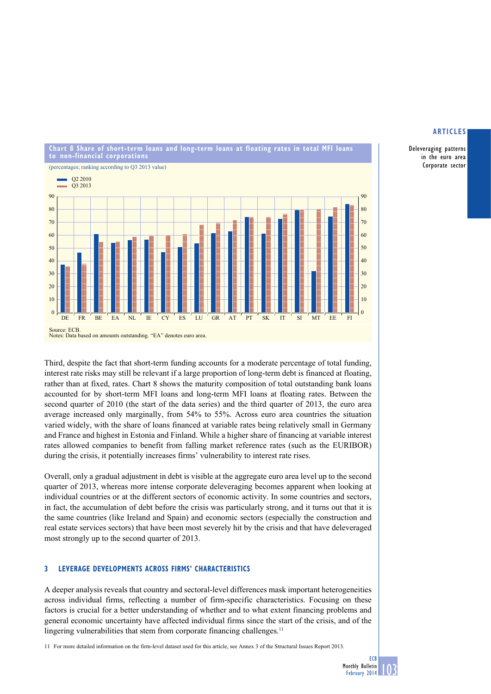Deleveraging patterns in the euro area Corporate sector



Third, despite the fact that short-term funding accounts for a moderate percentage of total funding, interest rate risks may still be relevant if a large proportion of long-term debt is financed at floating, rather than at fixed, rates. Chart 8 shows the maturity composition of total outstanding bank loans accounted for by short-term MFI loans and long-term MFI loans at floating rates. Between the second quarter of 2010 (the start of the data series) and the third quarter of 2013, the euro area average increased only marginally, from 54% to 55%. Across euro area countries the situation varied widely, with the share of loans financed at variable rates being relatively small in Germany and France and highest in Estonia and Finland. While a higher share of financing at variable interest rates allowed companies to benefit from falling market reference rates (such as the EURIBOR) during the crisis, it potentially increases firms' vulnerability to interest rate rises.

Overall, only a gradual adjustment in debt is visible at the aggregate euro area level up to the second quarter of 2013, whereas more intense corporate deleveraging becomes apparent when looking at individual countries or at the different sectors of economic activity. In some countries and sectors, in fact, the accumulation of debt before the crisis was particularly strong, and it turns out that it is the same countries (like Ireland and Spain) and economic sectors (especially the construction and real estate services sectors) that have been most severely hit by the crisis and that have deleveraged most strongly up to the second quarter of 2013.

# **3 leverage developments across firms' characteristics**

A deeper analysis reveals that country and sectoral-level differences mask important heterogeneities across individual firms, reflecting a number of firm-specific characteristics. Focusing on these factors is crucial for a better understanding of whether and to what extent financing problems and general economic uncertainty have affected individual firms since the start of the crisis, and of the lingering vulnerabilities that stem from corporate financing challenges.<sup>11</sup>

11 For more detailed information on the firm-level dataset used for this article, see Annex 3 of the Structural Issues Report 2013.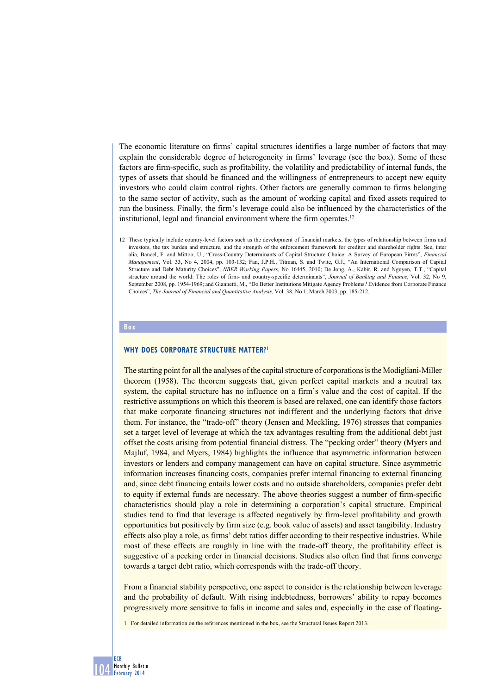The economic literature on firms' capital structures identifies a large number of factors that may explain the considerable degree of heterogeneity in firms' leverage (see the box). Some of these factors are firm-specific, such as profitability, the volatility and predictability of internal funds, the types of assets that should be financed and the willingness of entrepreneurs to accept new equity investors who could claim control rights. Other factors are generally common to firms belonging to the same sector of activity, such as the amount of working capital and fixed assets required to run the business. Finally, the firm's leverage could also be influenced by the characteristics of the institutional, legal and financial environment where the firm operates.<sup>12</sup>

12 These typically include country-level factors such as the development of financial markets, the types of relationship between firms and investors, the tax burden and structure, and the strength of the enforcement framework for creditor and shareholder rights. See, inter alia, Bancel, F. and Mittoo, U., "Cross-Country Determinants of Capital Structure Choice: A Survey of European Firms", *Financial Management*, Vol. 33, No 4, 2004, pp. 103-132; Fan, J.P.H., Titman, S. and Twite, G.J., "An International Comparison of Capital Structure and Debt Maturity Choices", *NBER Working Papers*, No 16445, 2010; De Jong, A., Kabir, R. and Nguyen, T.T., "Capital structure around the world: The roles of firm- and country-specific determinants", *Journal of Banking and Finance*, Vol. 32, No 9, September 2008, pp. 1954-1969; and Giannetti, M., "Do Better Institutions Mitigate Agency Problems? Evidence from Corporate Finance Choices", *The Journal of Financial and Quantitative Analysis*, Vol. 38, No 1, March 2003, pp. 185-212.

#### **Box**

# **WHY DOES CORPORATE STRUCTURE MATTER?1**

The starting point for all the analyses of the capital structure of corporations is the Modigliani-Miller theorem (1958). The theorem suggests that, given perfect capital markets and a neutral tax system, the capital structure has no influence on a firm's value and the cost of capital. If the restrictive assumptions on which this theorem is based are relaxed, one can identify those factors that make corporate financing structures not indifferent and the underlying factors that drive them. For instance, the "trade-off" theory (Jensen and Meckling, 1976) stresses that companies set a target level of leverage at which the tax advantages resulting from the additional debt just offset the costs arising from potential financial distress. The "pecking order" theory (Myers and Majluf, 1984, and Myers, 1984) highlights the influence that asymmetric information between investors or lenders and company management can have on capital structure. Since asymmetric information increases financing costs, companies prefer internal financing to external financing and, since debt financing entails lower costs and no outside shareholders, companies prefer debt to equity if external funds are necessary. The above theories suggest a number of firm-specific characteristics should play a role in determining a corporation's capital structure. Empirical studies tend to find that leverage is affected negatively by firm-level profitability and growth opportunities but positively by firm size (e.g. book value of assets) and asset tangibility. Industry effects also play a role, as firms' debt ratios differ according to their respective industries. While most of these effects are roughly in line with the trade-off theory, the profitability effect is suggestive of a pecking order in financial decisions. Studies also often find that firms converge towards a target debt ratio, which corresponds with the trade-off theory.

From a financial stability perspective, one aspect to consider is the relationship between leverage and the probability of default. With rising indebtedness, borrowers' ability to repay becomes progressively more sensitive to falls in income and sales and, especially in the case of floating-

1 For detailed information on the references mentioned in the box, see the Structural Issues Report 2013.

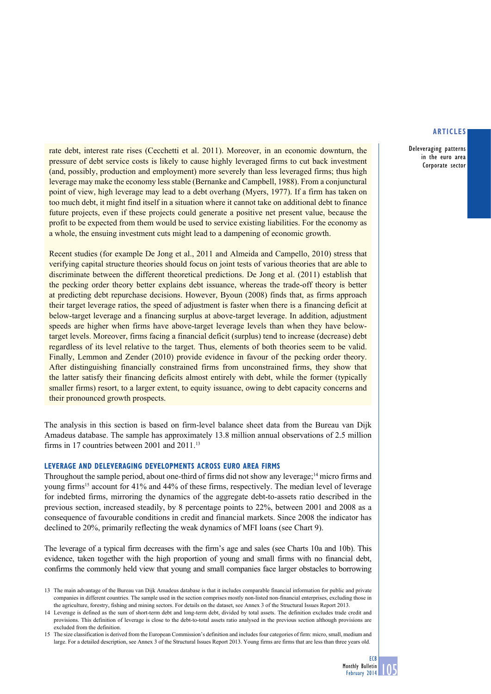Deleveraging patterns in the euro area Corporate sector

rate debt, interest rate rises (Cecchetti et al. 2011). Moreover, in an economic downturn, the pressure of debt service costs is likely to cause highly leveraged firms to cut back investment (and, possibly, production and employment) more severely than less leveraged firms; thus high leverage may make the economy less stable (Bernanke and Campbell, 1988). From a conjunctural point of view, high leverage may lead to a debt overhang (Myers, 1977). If a firm has taken on too much debt, it might find itself in a situation where it cannot take on additional debt to finance future projects, even if these projects could generate a positive net present value, because the profit to be expected from them would be used to service existing liabilities. For the economy as a whole, the ensuing investment cuts might lead to a dampening of economic growth.

Recent studies (for example De Jong et al., 2011 and Almeida and Campello, 2010) stress that verifying capital structure theories should focus on joint tests of various theories that are able to discriminate between the different theoretical predictions. De Jong et al. (2011) establish that the pecking order theory better explains debt issuance, whereas the trade-off theory is better at predicting debt repurchase decisions. However, Byoun (2008) finds that, as firms approach their target leverage ratios, the speed of adjustment is faster when there is a financing deficit at below-target leverage and a financing surplus at above-target leverage. In addition, adjustment speeds are higher when firms have above-target leverage levels than when they have belowtarget levels. Moreover, firms facing a financial deficit (surplus) tend to increase (decrease) debt regardless of its level relative to the target. Thus, elements of both theories seem to be valid. Finally, Lemmon and Zender (2010) provide evidence in favour of the pecking order theory. After distinguishing financially constrained firms from unconstrained firms, they show that the latter satisfy their financing deficits almost entirely with debt, while the former (typically smaller firms) resort, to a larger extent, to equity issuance, owing to debt capacity concerns and their pronounced growth prospects.

The analysis in this section is based on firm-level balance sheet data from the Bureau van Dijk Amadeus database. The sample has approximately 13.8 million annual observations of 2.5 million firms in 17 countries between 2001 and 2011.13

# **Leverage and deleveraging developments across euro area firms**

Throughout the sample period, about one-third of firms did not show any leverage;14 micro firms and young firms15 account for 41% and 44% of these firms, respectively. The median level of leverage for indebted firms, mirroring the dynamics of the aggregate debt-to-assets ratio described in the previous section, increased steadily, by 8 percentage points to 22%, between 2001 and 2008 as a consequence of favourable conditions in credit and financial markets. Since 2008 the indicator has declined to 20%, primarily reflecting the weak dynamics of MFI loans (see Chart 9).

The leverage of a typical firm decreases with the firm's age and sales (see Charts 10a and 10b). This evidence, taken together with the high proportion of young and small firms with no financial debt, confirms the commonly held view that young and small companies face larger obstacles to borrowing

<sup>13</sup> The main advantage of the Bureau van Dijk Amadeus database is that it includes comparable financial information for public and private companies in different countries. The sample used in the section comprises mostly non-listed non-financial enterprises, excluding those in the agriculture, forestry, fishing and mining sectors. For details on the dataset, see Annex 3 of the Structural Issues Report 2013.

<sup>14</sup> Leverage is defined as the sum of short-term debt and long-term debt, divided by total assets. The definition excludes trade credit and provisions. This definition of leverage is close to the debt-to-total assets ratio analysed in the previous section although provisions are excluded from the definition.

<sup>15</sup> The size classification is derived from the European Commission's definition and includes four categories of firm: micro, small, medium and large. For a detailed description, see Annex 3 of the Structural Issues Report 2013. Young firms are firms that are less than three years old.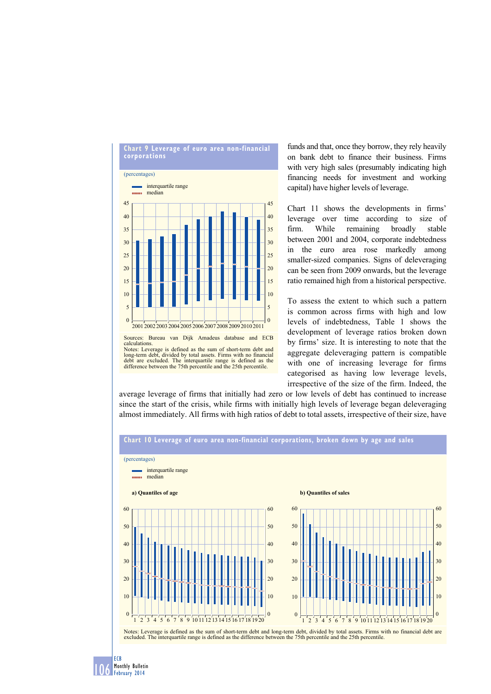

funds and that, once they borrow, they rely heavily on bank debt to finance their business. Firms with very high sales (presumably indicating high financing needs for investment and working capital) have higher levels of leverage.

Chart 11 shows the developments in firms' leverage over time according to size of firm. While remaining broadly stable between 2001 and 2004, corporate indebtedness in the euro area rose markedly among smaller-sized companies. Signs of deleveraging can be seen from 2009 onwards, but the leverage ratio remained high from a historical perspective.

To assess the extent to which such a pattern is common across firms with high and low levels of indebtedness, Table 1 shows the development of leverage ratios broken down by firms' size. It is interesting to note that the aggregate deleveraging pattern is compatible with one of increasing leverage for firms categorised as having low leverage levels, irrespective of the size of the firm. Indeed, the

average leverage of firms that initially had zero or low levels of debt has continued to increase since the start of the crisis, while firms with initially high levels of leverage began deleveraging almost immediately. All firms with high ratios of debt to total assets, irrespective of their size, have



106 Monthly Bullet Monthly Bulletin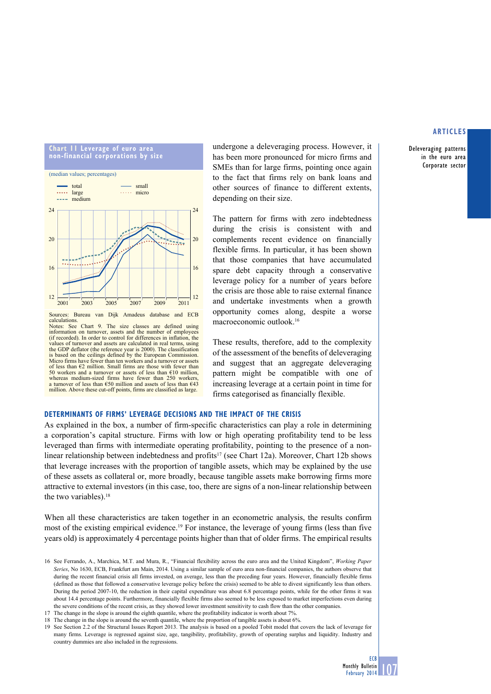Deleveraging patterns in the euro area Corporate sector



calculations. Notes: See Chart 9. The size classes are defined using information on turnover, assets and the number of employees (if recorded). In order to control for differences in inflation, the values of turnover and assets are calculated in real terms, using the GDP deflator (the reference year is 2000). The classification is based on the ceilings defined by the European Commission. Micro firms have fewer than ten workers and a turnover or assets of less than €2 million. Small firms are those with fewer than 50 workers and a turnover or assets of less than  $€10$  million, whereas medium-sized firms have fewer than 250 workers a turnover of less than  $\epsilon$ 50 million and assets of less than  $\epsilon$ 43 million. Above these cut-off points, firms are classified as large.

undergone a deleveraging process. However, it has been more pronounced for micro firms and SMEs than for large firms, pointing once again to the fact that firms rely on bank loans and other sources of finance to different extents, depending on their size.

The pattern for firms with zero indebtedness during the crisis is consistent with and complements recent evidence on financially flexible firms. In particular, it has been shown that those companies that have accumulated spare debt capacity through a conservative leverage policy for a number of years before the crisis are those able to raise external finance and undertake investments when a growth opportunity comes along, despite a worse macroeconomic outlook.16

These results, therefore, add to the complexity of the assessment of the benefits of deleveraging and suggest that an aggregate deleveraging pattern might be compatible with one of increasing leverage at a certain point in time for firms categorised as financially flexible.

# **Determinants of firms' leverage decisions and the impact of the crisis**

As explained in the box, a number of firm-specific characteristics can play a role in determining a corporation's capital structure. Firms with low or high operating profitability tend to be less leveraged than firms with intermediate operating profitability, pointing to the presence of a nonlinear relationship between indebtedness and profits<sup>17</sup> (see Chart 12a). Moreover, Chart 12b shows that leverage increases with the proportion of tangible assets, which may be explained by the use of these assets as collateral or, more broadly, because tangible assets make borrowing firms more attractive to external investors (in this case, too, there are signs of a non-linear relationship between the two variables).<sup>18</sup>

When all these characteristics are taken together in an econometric analysis, the results confirm most of the existing empirical evidence.<sup>19</sup> For instance, the leverage of young firms (less than five years old) is approximately 4 percentage points higher than that of older firms. The empirical results

<sup>16</sup> See Ferrando, A., Marchica, M.T. and Mura, R., "Financial flexibility across the euro area and the United Kingdom", *Working Paper Series*, No 1630, ECB, Frankfurt am Main, 2014. Using a similar sample of euro area non-financial companies, the authors observe that during the recent financial crisis all firms invested, on average, less than the preceding four years. However, financially flexible firms (defined as those that followed a conservative leverage policy before the crisis) seemed to be able to divest significantly less than others. During the period 2007-10, the reduction in their capital expenditure was about 6.8 percentage points, while for the other firms it was about 14.4 percentage points. Furthermore, financially flexible firms also seemed to be less exposed to market imperfections even during the severe conditions of the recent crisis, as they showed lower investment sensitivity to cash flow than the other companies.

<sup>17</sup> The change in the slope is around the eighth quantile, where the profitability indicator is worth about 7%.

<sup>18</sup> The change in the slope is around the seventh quantile, where the proportion of tangible assets is about 6%.

<sup>19</sup> See Section 2.2 of the Structural Issues Report 2013. The analysis is based on a pooled Tobit model that covers the lack of leverage for many firms. Leverage is regressed against size, age, tangibility, profitability, growth of operating surplus and liquidity. Industry and country dummies are also included in the regressions.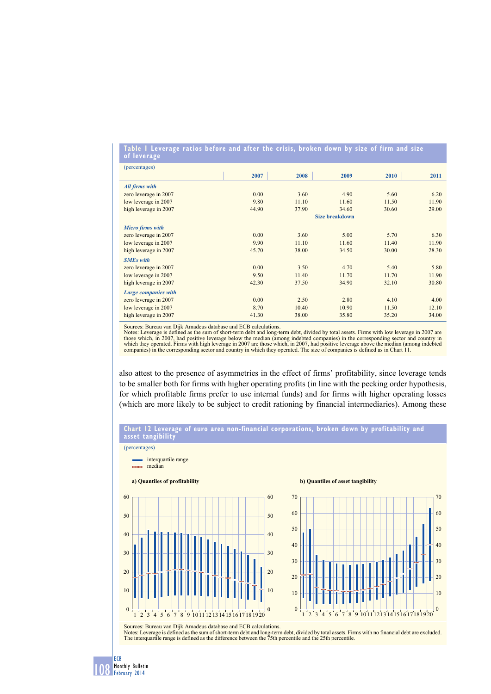#### **table 1 leverage ratios before and after the crisis, broken down by size of firm and size of leverage**

| (percentages)           |                       |       |       |       |       |  |  |  |  |
|-------------------------|-----------------------|-------|-------|-------|-------|--|--|--|--|
|                         | 2007                  | 2008  | 2009  | 2010  | 2011  |  |  |  |  |
| <b>All firms with</b>   |                       |       |       |       |       |  |  |  |  |
| zero leverage in 2007   | 0.00                  | 3.60  | 4.90  | 5.60  | 6.20  |  |  |  |  |
| low leverage in 2007    | 9.80                  | 11.10 | 11.60 | 11.50 | 11.90 |  |  |  |  |
| high leverage in 2007   | 44.90                 | 37.90 | 34.60 | 30.60 | 29.00 |  |  |  |  |
|                         | <b>Size breakdown</b> |       |       |       |       |  |  |  |  |
| <b>Micro firms with</b> |                       |       |       |       |       |  |  |  |  |
| zero leverage in 2007   | 0.00                  | 3.60  | 5.00  | 5.70  | 6.30  |  |  |  |  |
| low leverage in 2007    | 9.90                  | 11.10 | 11.60 | 11.40 | 11.90 |  |  |  |  |
| high leverage in 2007   | 45.70                 | 38.00 | 34.50 | 30.00 | 28.30 |  |  |  |  |
| <b>SMEs</b> with        |                       |       |       |       |       |  |  |  |  |
| zero leverage in 2007   | 0.00                  | 3.50  | 4.70  | 5.40  | 5.80  |  |  |  |  |
| low leverage in 2007    | 9.50                  | 11.40 | 11.70 | 11.70 | 11.90 |  |  |  |  |
| high leverage in 2007   | 42.30                 | 37.50 | 34.90 | 32.10 | 30.80 |  |  |  |  |
| Large companies with    |                       |       |       |       |       |  |  |  |  |
| zero leverage in 2007   | 0.00                  | 2.50  | 2.80  | 4.10  | 4.00  |  |  |  |  |
| low leverage in 2007    | 8.70                  | 10.40 | 10.90 | 11.50 | 12.10 |  |  |  |  |
| high leverage in 2007   | 41.30                 | 38.00 | 35.80 | 35.20 | 34.00 |  |  |  |  |

Sources: Bureau van Dijk Amadeus database and ECB calculations.

108 Monthly Bullet ECB Monthly Bulletin

Notes: Leverage is defined as the sum of short-term debt and long-term debt, divided by total assets. Firms with low leverage in 2007 are those which, in 2007, had positive leverage below the median (among indebted companies) in the corresponding sector and country in<br>which they operated. Firms with high leverage in 2007 are those which, in 2007, had positiv

also attest to the presence of asymmetries in the effect of firms' profitability, since leverage tends to be smaller both for firms with higher operating profits (in line with the pecking order hypothesis, for which profitable firms prefer to use internal funds) and for firms with higher operating losses (which are more likely to be subject to credit rationing by financial intermediaries). Among these

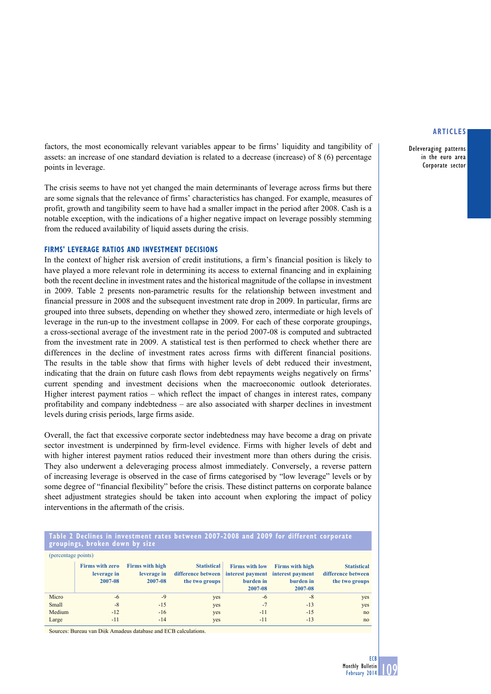Deleveraging patterns in the euro area Corporate sector

factors, the most economically relevant variables appear to be firms' liquidity and tangibility of assets: an increase of one standard deviation is related to a decrease (increase) of 8 (6) percentage points in leverage.

The crisis seems to have not yet changed the main determinants of leverage across firms but there are some signals that the relevance of firms' characteristics has changed. For example, measures of profit, growth and tangibility seem to have had a smaller impact in the period after 2008. Cash is a notable exception, with the indications of a higher negative impact on leverage possibly stemming from the reduced availability of liquid assets during the crisis.

# **FIRMS' Leverage ratios and investment decisions**

In the context of higher risk aversion of credit institutions, a firm's financial position is likely to have played a more relevant role in determining its access to external financing and in explaining both the recent decline in investment rates and the historical magnitude of the collapse in investment in 2009. Table 2 presents non-parametric results for the relationship between investment and financial pressure in 2008 and the subsequent investment rate drop in 2009. In particular, firms are grouped into three subsets, depending on whether they showed zero, intermediate or high levels of leverage in the run-up to the investment collapse in 2009. For each of these corporate groupings, a cross-sectional average of the investment rate in the period 2007-08 is computed and subtracted from the investment rate in 2009. A statistical test is then performed to check whether there are differences in the decline of investment rates across firms with different financial positions. The results in the table show that firms with higher levels of debt reduced their investment, indicating that the drain on future cash flows from debt repayments weighs negatively on firms' current spending and investment decisions when the macroeconomic outlook deteriorates. Higher interest payment ratios – which reflect the impact of changes in interest rates, company profitability and company indebtedness – are also associated with sharper declines in investment levels during crisis periods, large firms aside.

Overall, the fact that excessive corporate sector indebtedness may have become a drag on private sector investment is underpinned by firm-level evidence. Firms with higher levels of debt and with higher interest payment ratios reduced their investment more than others during the crisis. They also underwent a deleveraging process almost immediately. Conversely, a reverse pattern of increasing leverage is observed in the case of firms categorised by "low leverage" levels or by some degree of "financial flexibility" before the crisis. These distinct patterns on corporate balance sheet adjustment strategies should be taken into account when exploring the impact of policy interventions in the aftermath of the crisis.

# **table 2 declines in investment rates between 2007-2008 and 2009 for different corporate groupings, broken down by size**

| (percentage points) |                                                  |                                                  |                                                                                                |                                               |                                                |                                                            |  |  |  |  |
|---------------------|--------------------------------------------------|--------------------------------------------------|------------------------------------------------------------------------------------------------|-----------------------------------------------|------------------------------------------------|------------------------------------------------------------|--|--|--|--|
|                     | <b>Firms with zero</b><br>leverage in<br>2007-08 | <b>Firms with high</b><br>leverage in<br>2007-08 | <b>Statistical</b><br>difference between   interest payment interest payment<br>the two groups | <b>Firms with low</b><br>burden in<br>2007-08 | <b>Firms with high</b><br>burden in<br>2007-08 | <b>Statistical</b><br>difference between<br>the two groups |  |  |  |  |
| Micro               | $-6$                                             | $-9$                                             | yes                                                                                            | $-6$                                          | -8                                             | yes                                                        |  |  |  |  |
| Small               | $-8$                                             | $-15$                                            | yes                                                                                            | $-7$                                          | $-13$                                          | yes                                                        |  |  |  |  |
| Medium              | $-12$                                            | $-16$                                            | yes                                                                                            | $-11$                                         | $-15$                                          | no                                                         |  |  |  |  |
| Large               | $-11$                                            | $-14$                                            | yes                                                                                            | $-11$                                         | $-13$                                          | no                                                         |  |  |  |  |

Sources: Bureau van Dijk Amadeus database and ECB calculations.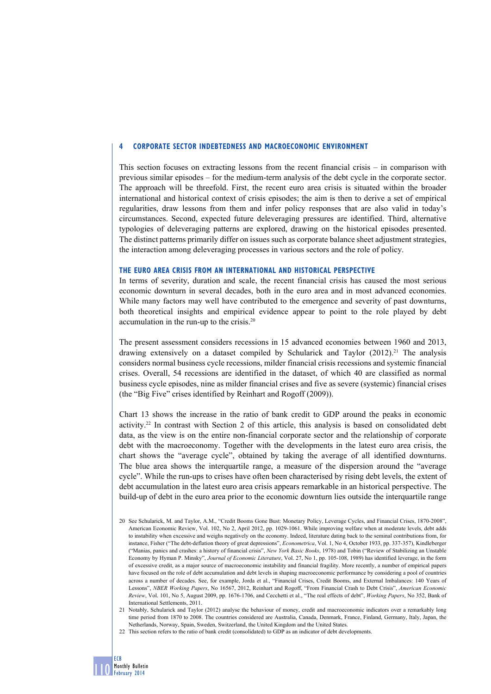# **4 Corporate sector indebtedness and macroeconomic environment**

This section focuses on extracting lessons from the recent financial crisis – in comparison with previous similar episodes – for the medium-term analysis of the debt cycle in the corporate sector. The approach will be threefold. First, the recent euro area crisis is situated within the broader international and historical context of crisis episodes; the aim is then to derive a set of empirical regularities, draw lessons from them and infer policy responses that are also valid in today's circumstances. Second, expected future deleveraging pressures are identified. Third, alternative typologies of deleveraging patterns are explored, drawing on the historical episodes presented. The distinct patterns primarily differ on issues such as corporate balance sheet adjustment strategies, the interaction among deleveraging processes in various sectors and the role of policy.

#### **The euro area crisis from an international and historical perspective**

In terms of severity, duration and scale, the recent financial crisis has caused the most serious economic downturn in several decades, both in the euro area and in most advanced economies. While many factors may well have contributed to the emergence and severity of past downturns, both theoretical insights and empirical evidence appear to point to the role played by debt accumulation in the run-up to the crisis.20

The present assessment considers recessions in 15 advanced economies between 1960 and 2013, drawing extensively on a dataset compiled by Schularick and Taylor  $(2012)^{21}$ . The analysis considers normal business cycle recessions, milder financial crisis recessions and systemic financial crises. Overall, 54 recessions are identified in the dataset, of which 40 are classified as normal business cycle episodes, nine as milder financial crises and five as severe (systemic) financial crises (the "Big Five" crises identified by Reinhart and Rogoff (2009)).

Chart 13 shows the increase in the ratio of bank credit to GDP around the peaks in economic activity.22 In contrast with Section 2 of this article, this analysis is based on consolidated debt data, as the view is on the entire non-financial corporate sector and the relationship of corporate debt with the macroeconomy. Together with the developments in the latest euro area crisis, the chart shows the "average cycle", obtained by taking the average of all identified downturns. The blue area shows the interquartile range, a measure of the dispersion around the "average cycle". While the run-ups to crises have often been characterised by rising debt levels, the extent of debt accumulation in the latest euro area crisis appears remarkable in an historical perspective. The build-up of debt in the euro area prior to the economic downturn lies outside the interquartile range

<sup>22</sup> This section refers to the ratio of bank credit (consolidated) to GDP as an indicator of debt developments.



<sup>20</sup> See Schularick, M. and Taylor, A.M., "Credit Booms Gone Bust: Monetary Policy, Leverage Cycles, and Financial Crises, 1870-2008", American Economic Review, Vol. 102, No 2, April 2012, pp. 1029-1061. While improving welfare when at moderate levels, debt adds to instability when excessive and weighs negatively on the economy. Indeed, literature dating back to the seminal contributions from, for instance, Fisher ("The debt-deflation theory of great depressions", *Econometrica*, Vol. 1, No 4, October 1933, pp. 337-357), Kindleberger ("Manias, panics and crashes: a history of financial crisis", *New York Basic Books*, 1978) and Tobin ("Review of Stabilizing an Unstable Economy by Hyman P. Minsky", *Journal of Economic Literature*, Vol. 27, No 1, pp. 105-108, 1989) has identified leverage, in the form of excessive credit, as a major source of macroeconomic instability and financial fragility. More recently, a number of empirical papers have focused on the role of debt accumulation and debt levels in shaping macroeconomic performance by considering a pool of countries across a number of decades. See, for example, Jorda et al., "Financial Crises, Credit Booms, and External Imbalances: 140 Years of Lessons", *NBER Working Papers*, No 16567, 2012, Reinhart and Rogoff, "From Financial Crash to Debt Crisis", *American Economic Review*, Vol. 101, No 5, August 2009, pp. 1676-1706, and Cecchetti et al., "The real effects of debt", *Working Papers*, No 352, Bank of International Settlements, 2011.

<sup>21</sup> Notably, Schularick and Taylor (2012) analyse the behaviour of money, credit and macroeconomic indicators over a remarkably long time period from 1870 to 2008. The countries considered are Australia, Canada, Denmark, France, Finland, Germany, Italy, Japan, the Netherlands, Norway, Spain, Sweden, Switzerland, the United Kingdom and the United States.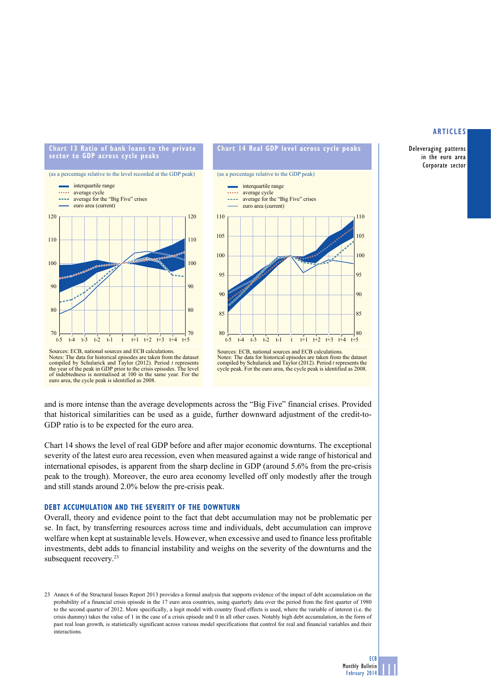Deleveraging patterns in the euro area Corporate sector





Notes: The data for historical episodes are taken from the dataset compiled by Schularick and Taylor (2012). Period *t* represents the cycle peak. For the euro area, the cycle peak is identified as 2008.



and is more intense than the average developments across the "Big Five" financial crises. Provided that historical similarities can be used as a guide, further downward adjustment of the credit-to-GDP ratio is to be expected for the euro area.

Chart 14 shows the level of real GDP before and after major economic downturns. The exceptional severity of the latest euro area recession, even when measured against a wide range of historical and international episodes, is apparent from the sharp decline in GDP (around 5.6% from the pre-crisis peak to the trough). Moreover, the euro area economy levelled off only modestly after the trough and still stands around 2.0% below the pre-crisis peak.

## **Debt accumulation and the severity of the downturn**

Overall, theory and evidence point to the fact that debt accumulation may not be problematic per se. In fact, by transferring resources across time and individuals, debt accumulation can improve welfare when kept at sustainable levels. However, when excessive and used to finance less profitable investments, debt adds to financial instability and weighs on the severity of the downturns and the subsequent recovery.<sup>23</sup>

<sup>23</sup> Annex 6 of the Structural Issues Report 2013 provides a formal analysis that supports evidence of the impact of debt accumulation on the probability of a financial crisis episode in the 17 euro area countries, using quarterly data over the period from the first quarter of 1980 to the second quarter of 2012. More specifically, a logit model with country fixed effects is used, where the variable of interest (i.e. the crisis dummy) takes the value of 1 in the case of a crisis episode and 0 in all other cases. Notably high debt accumulation, in the form of past real loan growth, is statistically significant across various model specifications that control for real and financial variables and their interactions.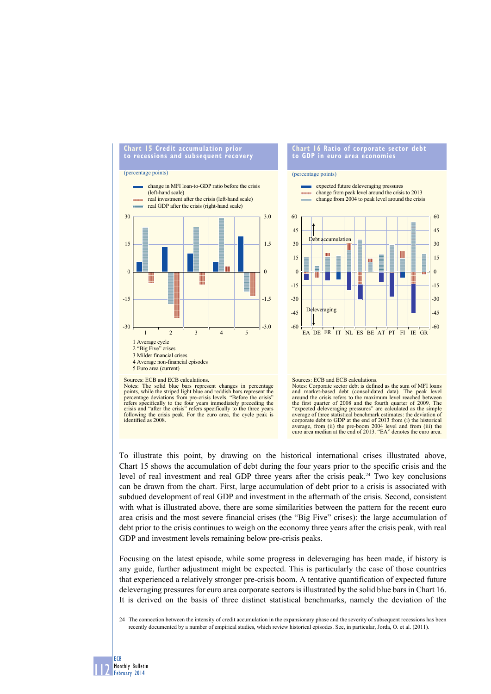

#### **Chart 16 Ratio of corporate sector debt to GdP in euro area economies**

#### (percentage points)



#### Sources: ECB and ECB calculations.

Notes: The solid blue bars represent changes in percentage points, while the striped light blue and reddish bars represent the percentage deviations from pre-crisis levels. "Before the crisis" refers specifically to the fo crisis and "after the crisis" refers specifically to the three years following the crisis peak. For the euro area, the cycle peak is identified as 2008.



Notes: Corporate sector debt is defined as the sum of MFI loans and market-based debt (consolidated data). The peak level around the crisis refers to the maximum level reached between the first quarter of 2008 and the fourth quarter of 2009. The "expected deleveraging pressures" are calculated as the simple average of three statistical benchmark estimates: the deviation of corporate debt to GDP at the end of 2013 from (i) the historical average, from (ii) the pre-boom 2004 level and from (iii) the euro area median at the end of 2013. "EA" denotes the euro area.

To illustrate this point, by drawing on the historical international crises illustrated above, Chart 15 shows the accumulation of debt during the four years prior to the specific crisis and the level of real investment and real GDP three years after the crisis peak.24 Two key conclusions can be drawn from the chart. First, large accumulation of debt prior to a crisis is associated with subdued development of real GDP and investment in the aftermath of the crisis. Second, consistent with what is illustrated above, there are some similarities between the pattern for the recent euro area crisis and the most severe financial crises (the "Big Five" crises): the large accumulation of debt prior to the crisis continues to weigh on the economy three years after the crisis peak, with real GDP and investment levels remaining below pre-crisis peaks.

Focusing on the latest episode, while some progress in deleveraging has been made, if history is any guide, further adjustment might be expected. This is particularly the case of those countries that experienced a relatively stronger pre-crisis boom. A tentative quantification of expected future deleveraging pressures for euro area corporate sectors is illustrated by the solid blue bars in Chart 16. It is derived on the basis of three distinct statistical benchmarks, namely the deviation of the

24 The connection between the intensity of credit accumulation in the expansionary phase and the severity of subsequent recessions has been recently documented by a number of empirical studies, which review historical episodes. See, in particular, Jorda, O. et al. (2011).

112 ECB Monthly Bulletin February 2014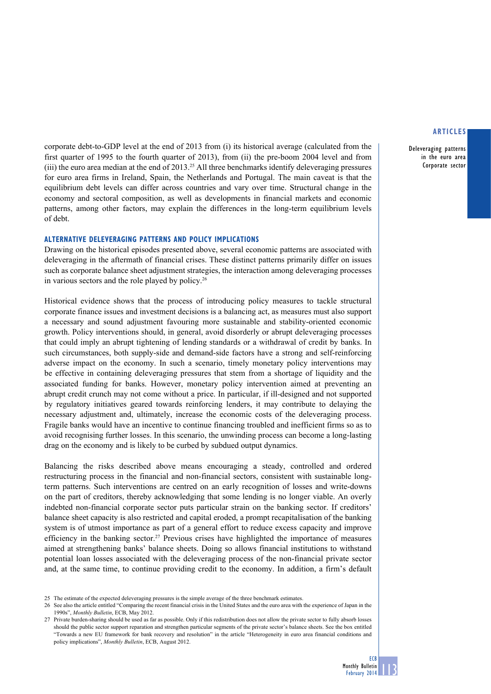Deleveraging patterns in the euro area Corporate sector

corporate debt-to-GDP level at the end of 2013 from (i) its historical average (calculated from the first quarter of 1995 to the fourth quarter of 2013), from (ii) the pre-boom 2004 level and from (iii) the euro area median at the end of 2013.25 All three benchmarks identify deleveraging pressures for euro area firms in Ireland, Spain, the Netherlands and Portugal. The main caveat is that the equilibrium debt levels can differ across countries and vary over time. Structural change in the economy and sectoral composition, as well as developments in financial markets and economic patterns, among other factors, may explain the differences in the long-term equilibrium levels of debt.

# **Alternative deleveraging patterns and policy implications**

Drawing on the historical episodes presented above, several economic patterns are associated with deleveraging in the aftermath of financial crises. These distinct patterns primarily differ on issues such as corporate balance sheet adjustment strategies, the interaction among deleveraging processes in various sectors and the role played by policy.26

Historical evidence shows that the process of introducing policy measures to tackle structural corporate finance issues and investment decisions is a balancing act, as measures must also support a necessary and sound adjustment favouring more sustainable and stability-oriented economic growth. Policy interventions should, in general, avoid disorderly or abrupt deleveraging processes that could imply an abrupt tightening of lending standards or a withdrawal of credit by banks. In such circumstances, both supply-side and demand-side factors have a strong and self-reinforcing adverse impact on the economy. In such a scenario, timely monetary policy interventions may be effective in containing deleveraging pressures that stem from a shortage of liquidity and the associated funding for banks. However, monetary policy intervention aimed at preventing an abrupt credit crunch may not come without a price. In particular, if ill-designed and not supported by regulatory initiatives geared towards reinforcing lenders, it may contribute to delaying the necessary adjustment and, ultimately, increase the economic costs of the deleveraging process. Fragile banks would have an incentive to continue financing troubled and inefficient firms so as to avoid recognising further losses. In this scenario, the unwinding process can become a long-lasting drag on the economy and is likely to be curbed by subdued output dynamics.

Balancing the risks described above means encouraging a steady, controlled and ordered restructuring process in the financial and non-financial sectors, consistent with sustainable longterm patterns. Such interventions are centred on an early recognition of losses and write-downs on the part of creditors, thereby acknowledging that some lending is no longer viable. An overly indebted non-financial corporate sector puts particular strain on the banking sector. If creditors' balance sheet capacity is also restricted and capital eroded, a prompt recapitalisation of the banking system is of utmost importance as part of a general effort to reduce excess capacity and improve efficiency in the banking sector.<sup>27</sup> Previous crises have highlighted the importance of measures aimed at strengthening banks' balance sheets. Doing so allows financial institutions to withstand potential loan losses associated with the deleveraging process of the non-financial private sector and, at the same time, to continue providing credit to the economy. In addition, a firm's default

<sup>25</sup> The estimate of the expected deleveraging pressures is the simple average of the three benchmark estimates.

<sup>26</sup> See also the article entitled "Comparing the recent financial crisis in the United States and the euro area with the experience of Japan in the 1990s", *Monthly Bulletin*, ECB, May 2012.

<sup>27</sup> Private burden-sharing should be used as far as possible. Only if this redistribution does not allow the private sector to fully absorb losses should the public sector support reparation and strengthen particular segments of the private sector's balance sheets. See the box entitled "Towards a new EU framework for bank recovery and resolution" in the article "Heterogeneity in euro area financial conditions and policy implications", *Monthly Bulletin*, ECB, August 2012.